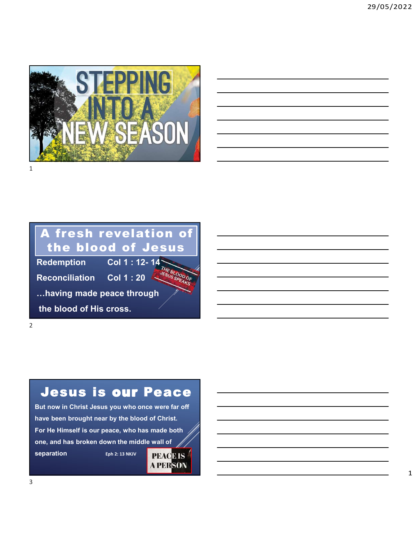

## A fresh revelation of the blood of Jesus

…having made peace through

the blood of His cross.

2

## **Jesus is our Peace**

But now in Christ Jesus you who once were far off have been brought near by the blood of Christ. For He Himself is our peace, who has made both one, and has broken down the middle wall of Separation Eph 2: 13 NKJV PEACE IS

**A PERSON**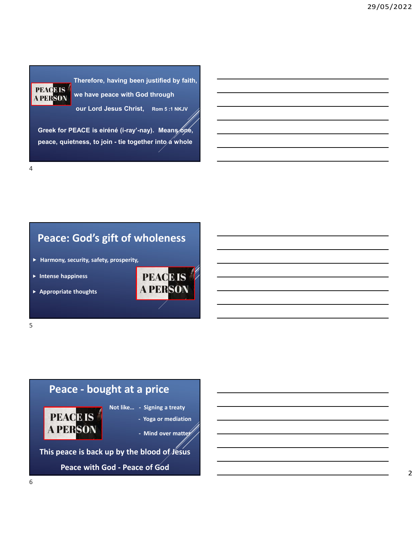Therefore, having been justified by faith,<br>we have peace with God through<br>our Lord Jesus Christ, Rom 5 :1 NKJV Therefore, having been justified by faith,<br>we have peace with God through<br>our Lord Jesus Christ, Rom 5:1 NKJV<br>EACE is eiréné (i-ray'-nay). Means one, our Lord Jesus Christ, Rom 5 :1 NKJV Therefore, having been justified by faith,<br> **PERSON**<br>
our Lord Jesus Christ, Rom 5 :1 NKJV<br>
Greek for PEACE is eiréné (i-ray'-nay). Means one,<br>
peace, quietness, to join - tie together into a whole Therefore, having been justified by faith,<br>
PERSON<br>
we have peace with God through<br>
our Lord Jesus Christ, Rom 5:1 NKJV<br>
Greek for PEACE is eirené (i-ray'-nay). Means one,<br>
peace, quietness, to join - tie together into a w

## Peace: God's gift of wholeness

 $\blacktriangleright$  Harmony, security, safety, prosperity,

 $5<sub>5</sub>$ 

4

- 
-